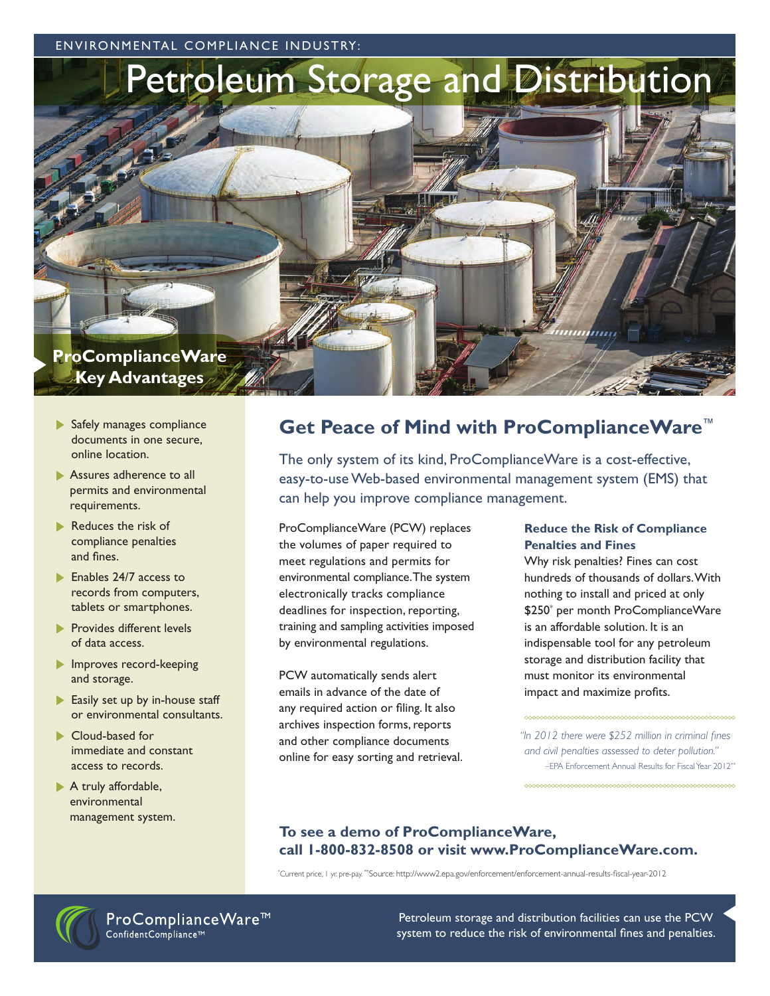ENVIRONMENTAL COMPLIANCE INDUSTRY:



- Safely manages compliance documents in one secure, online location.
- Assures adherence to all permits and environmental requirements.
- Reduces the risk of compliance penalties and fines.
- Enables 24/7 access to records from computers, tablets or smartphones.
- **Provides different levels** of data access.
- **Improves record-keeping** and storage.
- Easily set up by in-house staff or environmental consultants.
- Cloud-based for immediate and constant access to records.
- A truly affordable, environmental management system.

## **Get Peace of Mind with ProComplianceWare**™

The only system of its kind, ProComplianceWare is a cost-effective, easy-to-use Web-based environmental management system (EMS) that can help you improve compliance management.

ProComplianceWare (PCW) replaces the volumes of paper required to meet regulations and permits for environmental compliance. The system electronically tracks compliance deadlines for inspection, reporting, training and sampling activities imposed by environmental regulations.

PCW automatically sends alert emails in advance of the date of any required action or filing. It also archives inspection forms, reports and other compliance documents online for easy sorting and retrieval.

### **Reduce the Risk of Compliance Penalties and Fines**

Why risk penalties? Fines can cost hundreds of thousands of dollars. With nothing to install and priced at only \$250\* per month ProComplianceWare is an affordable solution. It is an indispensable tool for any petroleum storage and distribution facility that must monitor its environmental impact and maximize profits.

*"In 2012 there were \$252 million in criminal fines and civil penalties assessed to deter pollution."*  –EPA Enforcement Annual Results for Fiscal Year 2012\*\*

### **To see a demo of ProComplianceWare, call 1-800-832-8508 or visit www.ProComplianceWare.com.**

\* Current price, 1 yr. pre-pay. \*\*Source: http://www2.epa.gov/enforcement/enforcement-annual-results-fiscal-year-2012



ProComplianceWare<sup>™</sup> ConfidentCompliance<sup>™</sup>

Petroleum storage and distribution facilities can use the PCW system to reduce the risk of environmental fines and penalties.